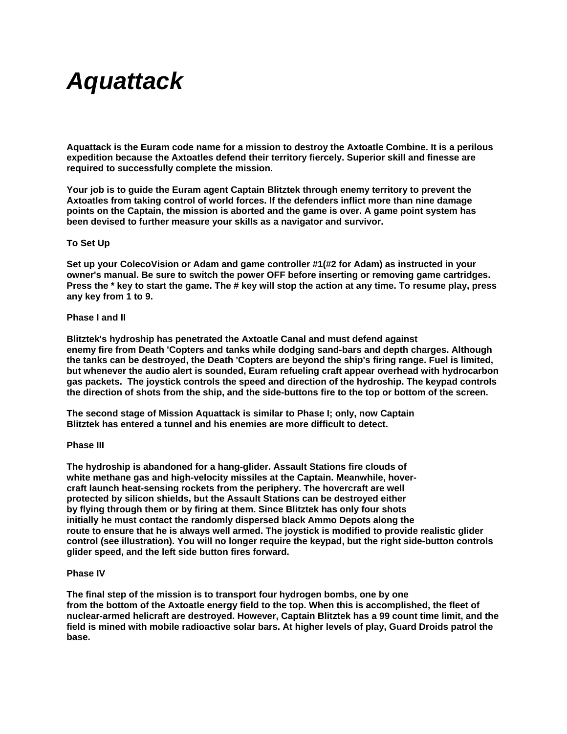# *Aquattack*

**Aquattack is the Euram code name for a mission to destroy the Axtoatle Combine. It is a perilous expedition because the Axtoatles defend their territory fiercely. Superior skill and finesse are required to successfully complete the mission.** 

**Your job is to guide the Euram agent Captain Blitztek through enemy territory to prevent the Axtoatles from taking control of world forces. If the defenders inflict more than nine damage points on the Captain, the mission is aborted and the game is over. A game point system has been devised to further measure your skills as a navigator and survivor.** 

## **To Set Up**

**Set up your ColecoVision or Adam and game controller #1(#2 for Adam) as instructed in your owner's manual. Be sure to switch the power OFF before inserting or removing game cartridges. Press the \* key to start the game. The # key will stop the action at any time. To resume play, press any key from 1 to 9.** 

## **Phase I and II**

**Blitztek's hydroship has penetrated the Axtoatle Canal and must defend against enemy fire from Death 'Copters and tanks while dodging sand-bars and depth charges. Although the tanks can be destroyed, the Death 'Copters are beyond the ship's firing range. Fuel is limited, but whenever the audio alert is sounded, Euram refueling craft appear overhead with hydrocarbon gas packets. The joystick controls the speed and direction of the hydroship. The keypad controls the direction of shots from the ship, and the side-buttons fire to the top or bottom of the screen.** 

**The second stage of Mission Aquattack is similar to Phase I; only, now Captain Blitztek has entered a tunnel and his enemies are more difficult to detect.** 

## **Phase III**

**The hydroship is abandoned for a hang-glider. Assault Stations fire clouds of white methane gas and high-velocity missiles at the Captain. Meanwhile, hovercraft launch heat-sensing rockets from the periphery. The hovercraft are well protected by silicon shields, but the Assault Stations can be destroyed either by flying through them or by firing at them. Since Blitztek has only four shots initially he must contact the randomly dispersed black Ammo Depots along the route to ensure that he is always well armed. The joystick is modified to provide realistic glider control (see illustration). You will no longer require the keypad, but the right side-button controls glider speed, and the left side button fires forward.** 

## **Phase IV**

**The final step of the mission is to transport four hydrogen bombs, one by one from the bottom of the Axtoatle energy field to the top. When this is accomplished, the fleet of nuclear-armed helicraft are destroyed. However, Captain Blitztek has a 99 count time limit, and the field is mined with mobile radioactive solar bars. At higher levels of play, Guard Droids patrol the base.**